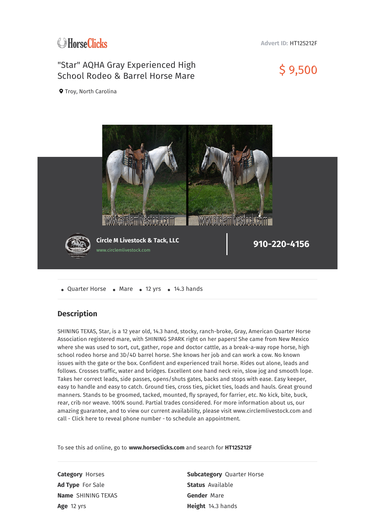# **C**HorseClicks

#### **Advert ID:** HT125212F

## "Star" AQHA Gray Experienced High School Rodeo & Barrel Horse Mare \$ 9,500

**Q** Troy, North Carolina



• Quarter Horse • Mare • 12 yrs • 14.3 hands

### **Description**

SHINING TEXAS, Star, is a 12 year old, 14.3 hand, stocky, ranch-broke, Gray, American Quarter Horse Association registered mare, with SHINING SPARK right on her papers! She came from New Mexico where she was used to sort, cut, gather, rope and doctor cattle, as a break-a-way rope horse, high school rodeo horse and 3D/4D barrel horse. She knows her job and can work a cow. No known issues with the gate or the box. Confident and experienced trail horse. Rides out alone, leads and follows. Crosses traffic, water and bridges. Excellent one hand neck rein, slow jog and smooth lope. Takes her correct leads, side passes, opens/shuts gates, backs and stops with ease. Easy keeper, easy to handle and easy to catch. Ground ties, cross ties, picket ties, loads and hauls. Great ground manners. Stands to be groomed, tacked, mounted, fly sprayed, for farrier, etc. No kick, bite, buck, rear, crib nor weave. 100% sound. Partial trades considered. For more information about us, our amazing guarantee, and to view our current availability, please visit www.circlemlivestock.com and call - Click here to reveal phone number - to schedule an appointment.

To see this ad online, go to **www.horseclicks.com** and search for **HT125212F**

**Ad Type** For Sale **Status** Available **Name** SHINING TEXAS **Gender** Mare **Age** 12 yrs **Height** 14.3 hands

**Category** Horses **Subcategory** Quarter Horse